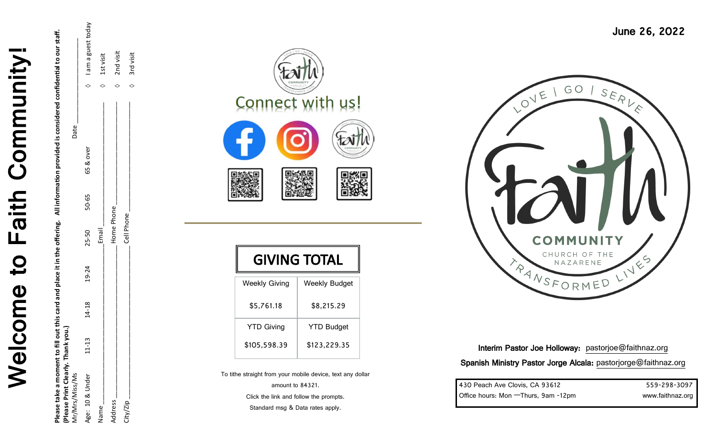

Please take a moment to fill out this card and place it in the offering. All information provided is considered confidential to our staff.<br>(Please Print Clearly. Thank you.) **Please take a moment to fill out this card and place it in the offering. All information provided is considered confidential to our staff. (Please Print Clearly. Thank you.)** 

| Mr/Mrs/Miss/Ms  |           |           |       |            |       |           | Date |                      |
|-----------------|-----------|-----------|-------|------------|-------|-----------|------|----------------------|
| Age: 10 & Under | $11 - 13$ | $14 - 18$ | 19-24 | 25-50      | 50-65 | 65 & over |      | I am a guest today   |
| Name            |           |           |       | Email      |       |           |      | $\sqrt{2}$ 1st visit |
| Address         |           |           |       | Home Phone |       |           |      | 2nd visit            |
| City/Zip        |           |           |       | Cell Phone |       |           |      | 3rd visit            |
|                 |           |           |       |            |       |           |      |                      |



|                      | <b>GIVING TOTAL</b>  |
|----------------------|----------------------|
| <b>Weekly Giving</b> | <b>Weekly Budget</b> |
| \$5,761.18           | \$8,215.29           |
| <b>YTD Giving</b>    | <b>YTD Budget</b>    |
| \$105,598.39         | \$123,229.35         |

To tithe straight from your mobile device, text any dollar

amount to 84321. Click the link and follow the prompts. Standard msg & Data rates apply.



Interim Pastor Joe Holloway: [pastorjoe@faithnaz.org](mailto:pastorjason@faithnaz.org) Spanish Ministry Pastor Jorge Alcala: [pastorjorge@faithnaz.org](mailto:pastorjorge@faithnaz.org) 

| 430 Peach Ave Clovis, CA 93612       | 559-298-3097     |
|--------------------------------------|------------------|
| Office hours: Mon - Thurs, 9am -12pm | www.faithnaz.org |